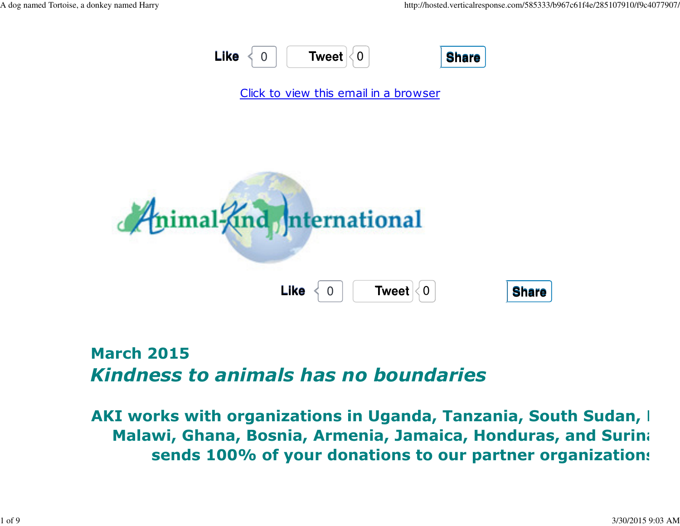



## March 2015Kindness to animals has no boundaries

AKI works with organizations in Uganda, Tanzania, South Sudan, I Malawi, Ghana, Bosnia, Armenia, Jamaica, Honduras, and Surina sends 100% of your donations to our partner organizations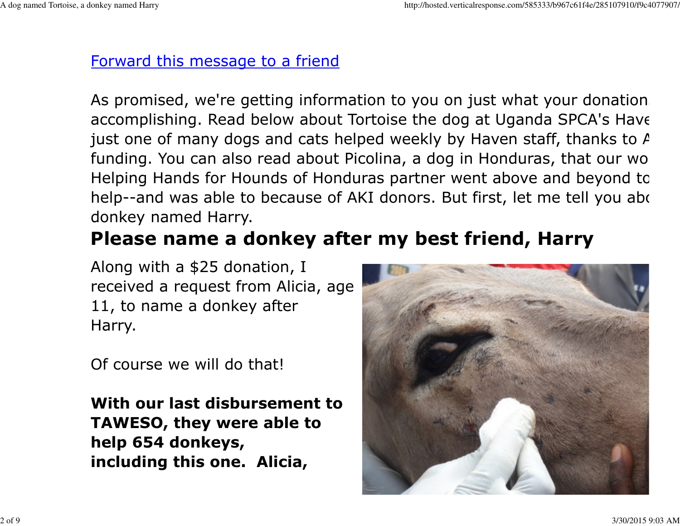#### Forward this message to a friend

As promised, we're getting information to you on just what your donations accomplishing. Read below about Tortoise the dog at Uganda SPCA's Havenjust one of many dogs and cats helped weekly by Haven staff, thanks to  $A$ funding. You can also read about Picolina, a dog in Honduras, that our wo Helping Hands for Hounds of Honduras partner went above and beyond tohelp--and was able to because of AKI donors. But first, let me tell you abo donkey named Harry.

# Please name a donkey after my best friend, Harry

Along with a \$25 donation, Ireceived a request from Alicia, age11, to name a donkey afterHarry.

Of course we will do that!

With our last disbursement toTAWESO, they were able tohelp 654 donkeys,including this one. Alicia,

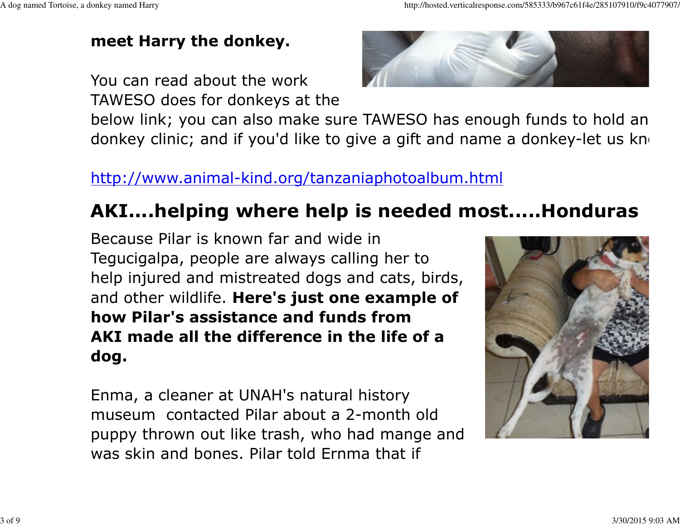## meet Harry the donkey.

You can read about the workTAWESO does for donkeys at the



below link; you can also make sure TAWESO has enough funds to hold an donkey clinic; and if you'd like to give a gift and name a donkey-let us know

## http://www.animal-kind.org/tanzaniaphotoalbum.html

# AKI....helping where help is needed most.....Honduras

Because Pilar is known far and wide in Tegucigalpa, people are always calling her to help injured and mistreated dogs and cats, birds,and other wildlife. Here's just one example of how Pilar's assistance and funds from AKI made all the difference in the life of adog.

Enma, a cleaner at UNAH's natural history museum contacted Pilar about a 2-month old puppy thrown out like trash, who had mange andwas skin and bones. Pilar told Ernma that if

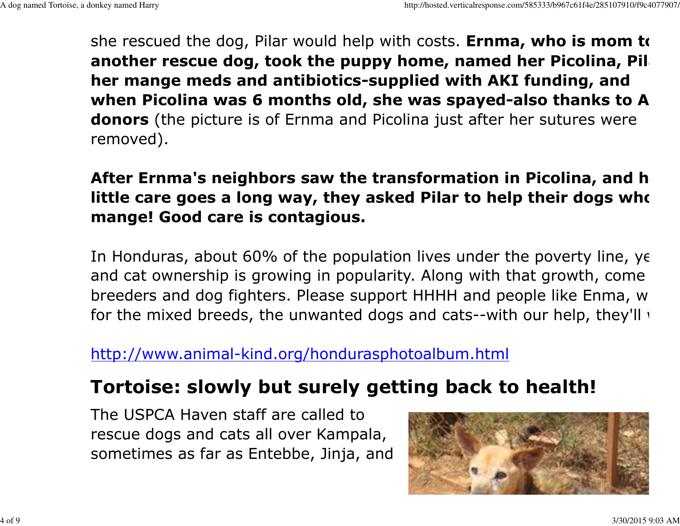she rescued the dog, Pilar would help with costs. Ernma, who is mom to another rescue dog, took the puppy home, named her Picolina, Pil her mange meds and antibiotics-supplied with AKI funding, andwhen Picolina was 6 months old, she was spayed-also thanks to A donors (the picture is of Ernma and Picolina just after her sutures were removed).

### After Ernma's neighbors saw the transformation in Picolina, and h little care goes a long way, they asked Pilar to help their dogs who mange! Good care is contagious.

In Honduras, about 60% of the population lives under the poverty line, yet and cat ownership is growing in popularity. Along with that growth, come breeders and dog fighters. Please support HHHH and people like Enma, whfor the mixed breeds, the unwanted dogs and cats--with our help, they'll  $\cdot$ 

#### http://www.animal-kind.org/hondurasphotoalbum.html

# Tortoise: slowly but surely getting back to health!

The USPCA Haven staff are called to rescue dogs and cats all over Kampala,sometimes as far as Entebbe, Jinja, and

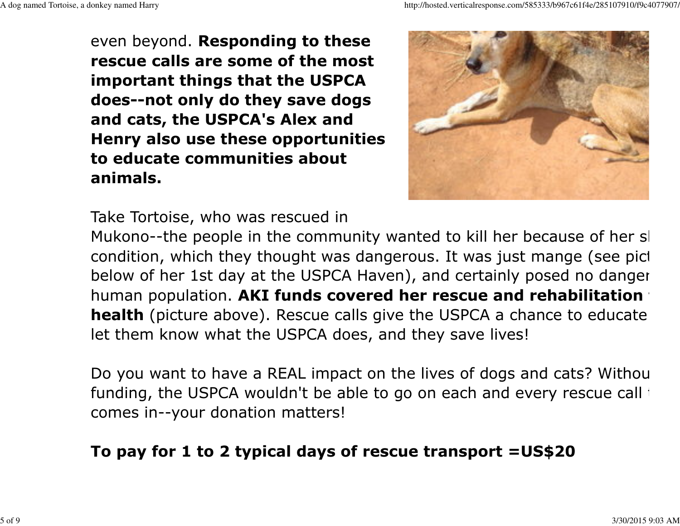even beyond. Responding to these rescue calls are some of the most important things that the USPCA does--not only do they save dogsand cats, the USPCA's Alex and Henry also use these opportunitiesto educate communities aboutanimals.





Mukono--the people in the community wanted to kill her because of her sl condition, which they thought was dangerous. It was just mange (see pict below of her 1st day at the USPCA Haven), and certainly posed no danger thuman population. AKI funds covered her rescue and rehabilitation **health** (picture above). Rescue calls give the USPCA a chance to educate let them know what the USPCA does, and they save lives!

Do you want to have a REAL impact on the lives of dogs and cats? Withou funding, the USPCA wouldn't be able to go on each and every rescue call the comes in--your donation matters!

### To pay for 1 to 2 typical days of rescue transport =US\$20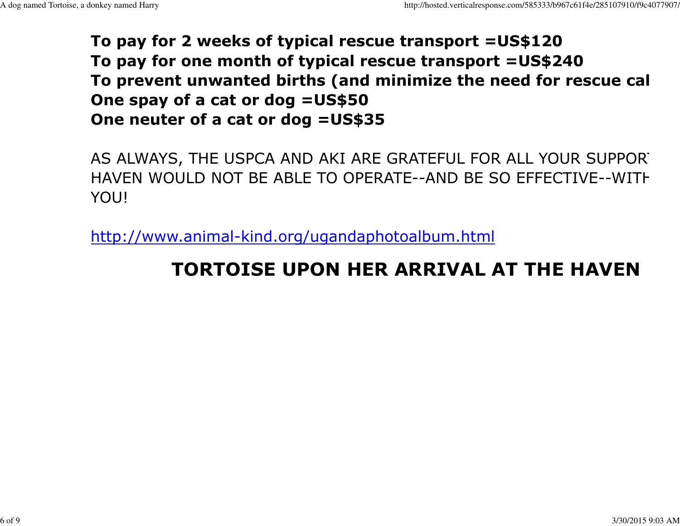### To pay for 2 weeks of typical rescue transport =US\$120 To pay for one month of typical rescue transport =US\$240To prevent unwanted births (and minimize the need for rescue cal One spay of a cat or dog =US\$50One neuter of a cat or dog =US\$35

AS ALWAYS, THE USPCA AND AKI ARE GRATEFUL FOR ALL YOUR SUPPORT HAVEN WOULD NOT BE ABLE TO OPERATE--AND BE SO EFFECTIVE--WITH YOU!

http://www.animal-kind.org/ugandaphotoalbum.html

# TORTOISE UPON HER ARRIVAL AT THE HAVEN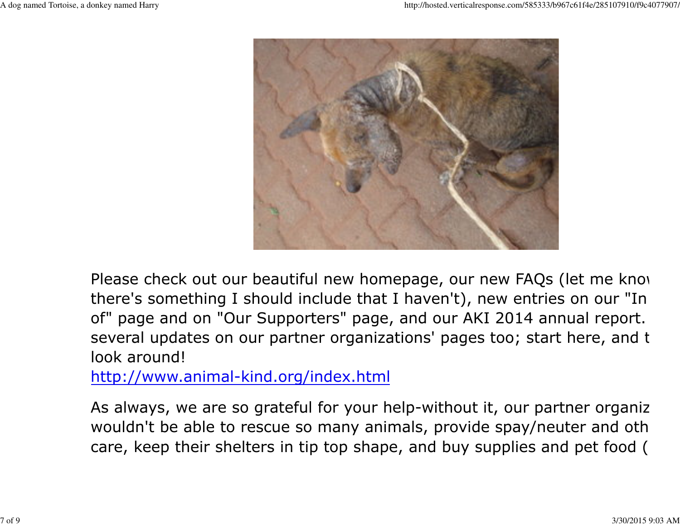

Please check out our beautiful new homepage, our new FAQs (let me know there's something I should include that I haven't), new entries on our "In of" page and on "Our Supporters" page, and our AKI 2014 annual report. several updates on our partner organizations' pages too; start here, and t look around!

http://www.animal-kind.org/index.html

As always, we are so grateful for your help-without it, our partner organization wouldn't be able to rescue so many animals, provide spay/neuter and oth care, keep their shelters in tip top shape, and buy supplies and pet food (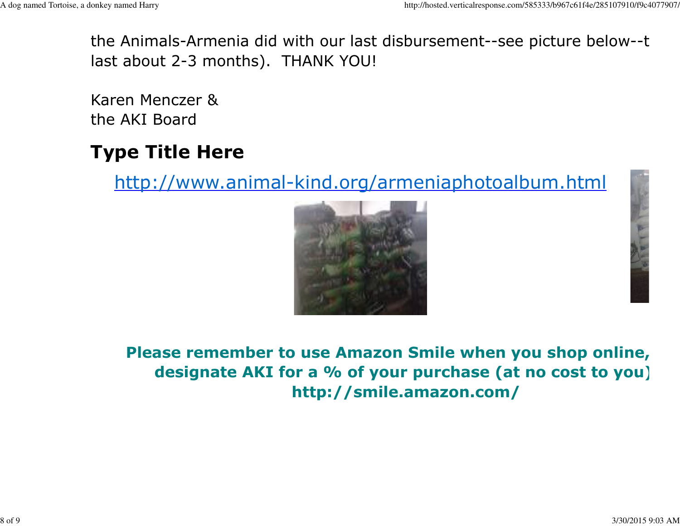the Animals-Armenia did with our last disbursement--see picture below--thlast about 2-3 months). THANK YOU!

Karen Menczer &the AKI Board

# Type Title Here

http://www.animal-kind.org/armeniaphotoalbum.html





Please remember to use Amazon Smile when you shop online, designate AKI for a % of your purchase (at no cost to you) http://smile.amazon.com/